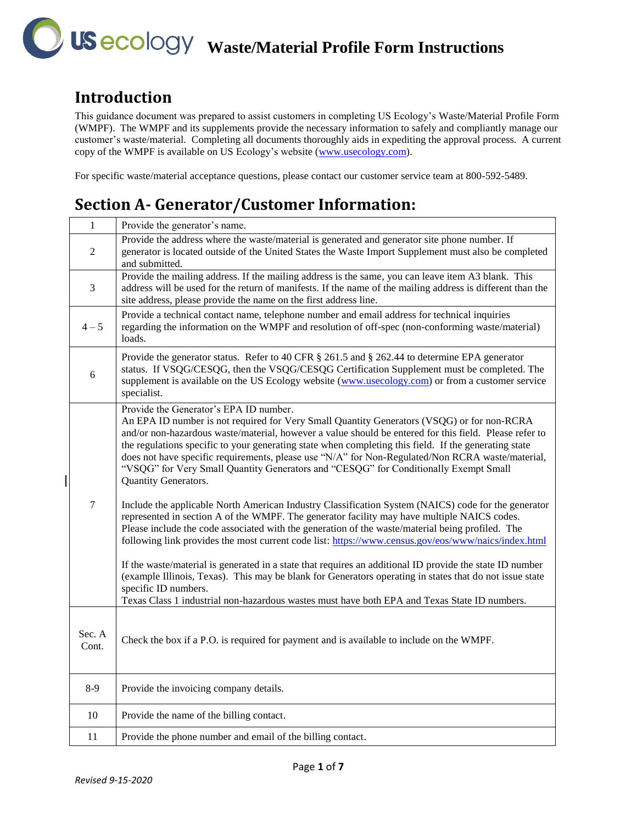#### **Introduction**

This guidance document was prepared to assist customers in completing US Ecology's Waste/Material Profile Form (WMPF). The WMPF and its supplements provide the necessary information to safely and compliantly manage our customer's waste/material. Completing all documents thoroughly aids in expediting the approval process. A current copy of the WMPF is available on US Ecology's website (www.usecology.com).

For specific waste/material acceptance questions, please contact our customer service team at 800-592-5489.

# **Section A- Generator/Customer Information:**

| $\mathbf{1}$    | Provide the generator's name.                                                                                                                                                                                                                                                                                                                                                                                                                                                                                                                                                                                                                                |
|-----------------|--------------------------------------------------------------------------------------------------------------------------------------------------------------------------------------------------------------------------------------------------------------------------------------------------------------------------------------------------------------------------------------------------------------------------------------------------------------------------------------------------------------------------------------------------------------------------------------------------------------------------------------------------------------|
| $\overline{2}$  | Provide the address where the waste/material is generated and generator site phone number. If<br>generator is located outside of the United States the Waste Import Supplement must also be completed<br>and submitted.                                                                                                                                                                                                                                                                                                                                                                                                                                      |
| $\overline{3}$  | Provide the mailing address. If the mailing address is the same, you can leave item A3 blank. This<br>address will be used for the return of manifests. If the name of the mailing address is different than the<br>site address, please provide the name on the first address line.                                                                                                                                                                                                                                                                                                                                                                         |
| $4 - 5$         | Provide a technical contact name, telephone number and email address for technical inquiries<br>regarding the information on the WMPF and resolution of off-spec (non-conforming waste/material)<br>loads.                                                                                                                                                                                                                                                                                                                                                                                                                                                   |
| 6               | Provide the generator status. Refer to 40 CFR § 261.5 and § 262.44 to determine EPA generator<br>status. If VSQG/CESQG, then the VSQG/CESQG Certification Supplement must be completed. The<br>supplement is available on the US Ecology website (www.usecology.com) or from a customer service<br>specialist.                                                                                                                                                                                                                                                                                                                                               |
|                 | Provide the Generator's EPA ID number.<br>An EPA ID number is not required for Very Small Quantity Generators (VSQG) or for non-RCRA<br>and/or non-hazardous waste/material, however a value should be entered for this field. Please refer to<br>the regulations specific to your generating state when completing this field. If the generating state<br>does not have specific requirements, please use "N/A" for Non-Regulated/Non RCRA waste/material,<br>"VSQG" for Very Small Quantity Generators and "CESQG" for Conditionally Exempt Small<br><b>Quantity Generators.</b>                                                                           |
| $\overline{7}$  | Include the applicable North American Industry Classification System (NAICS) code for the generator<br>represented in section A of the WMPF. The generator facility may have multiple NAICS codes.<br>Please include the code associated with the generation of the waste/material being profiled. The<br>following link provides the most current code list: https://www.census.gov/eos/www/naics/index.html<br>If the waste/material is generated in a state that requires an additional ID provide the state ID number<br>(example Illinois, Texas). This may be blank for Generators operating in states that do not issue state<br>specific ID numbers. |
|                 | Texas Class 1 industrial non-hazardous wastes must have both EPA and Texas State ID numbers.                                                                                                                                                                                                                                                                                                                                                                                                                                                                                                                                                                 |
| Sec. A<br>Cont. | Check the box if a P.O. is required for payment and is available to include on the WMPF.                                                                                                                                                                                                                                                                                                                                                                                                                                                                                                                                                                     |
| $8-9$           | Provide the invoicing company details.                                                                                                                                                                                                                                                                                                                                                                                                                                                                                                                                                                                                                       |
| $10\,$          | Provide the name of the billing contact.                                                                                                                                                                                                                                                                                                                                                                                                                                                                                                                                                                                                                     |
| 11              | Provide the phone number and email of the billing contact.                                                                                                                                                                                                                                                                                                                                                                                                                                                                                                                                                                                                   |

 $\overline{\phantom{a}}$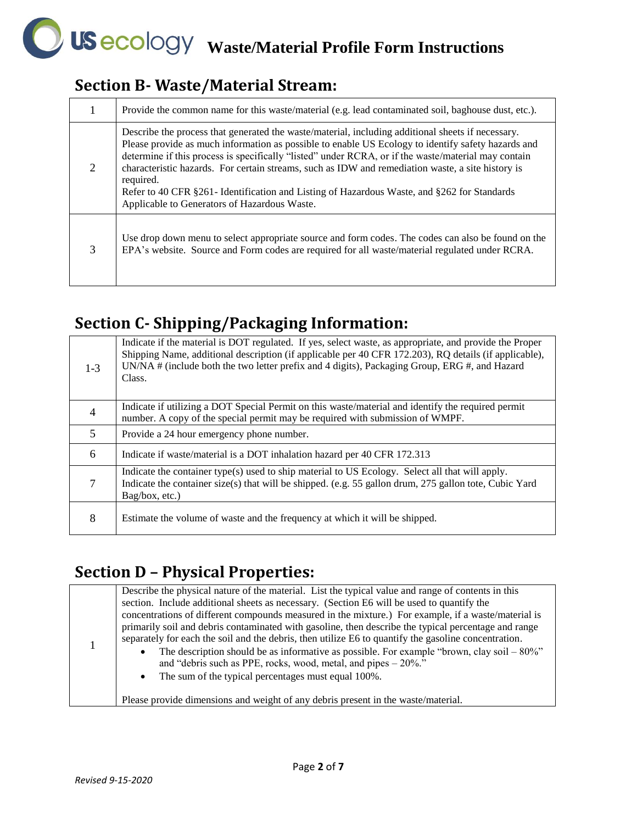#### **Section B- Waste/Material Stream:**

|   | Provide the common name for this waste/material (e.g. lead contaminated soil, baghouse dust, etc.).                                                                                                                                                                                                                                                                                                                                                                                                                                                                              |
|---|----------------------------------------------------------------------------------------------------------------------------------------------------------------------------------------------------------------------------------------------------------------------------------------------------------------------------------------------------------------------------------------------------------------------------------------------------------------------------------------------------------------------------------------------------------------------------------|
| 2 | Describe the process that generated the waste/material, including additional sheets if necessary.<br>Please provide as much information as possible to enable US Ecology to identify safety hazards and<br>determine if this process is specifically "listed" under RCRA, or if the waste/material may contain<br>characteristic hazards. For certain streams, such as IDW and remediation waste, a site history is<br>required.<br>Refer to 40 CFR §261 - Identification and Listing of Hazardous Waste, and §262 for Standards<br>Applicable to Generators of Hazardous Waste. |
| 3 | Use drop down menu to select appropriate source and form codes. The codes can also be found on the<br>EPA's website. Source and Form codes are required for all waste/material regulated under RCRA.                                                                                                                                                                                                                                                                                                                                                                             |

### **Section C- Shipping/Packaging Information:**

| $1-3$ | Indicate if the material is DOT regulated. If yes, select waste, as appropriate, and provide the Proper<br>Shipping Name, additional description (if applicable per 40 CFR 172.203), RQ details (if applicable),<br>UN/NA $\#$ (include both the two letter prefix and 4 digits), Packaging Group, ERG $\#$ , and Hazard<br>Class. |
|-------|------------------------------------------------------------------------------------------------------------------------------------------------------------------------------------------------------------------------------------------------------------------------------------------------------------------------------------|
| 4     | Indicate if utilizing a DOT Special Permit on this waste/material and identify the required permit<br>number. A copy of the special permit may be required with submission of WMPF.                                                                                                                                                |
| 5     | Provide a 24 hour emergency phone number.                                                                                                                                                                                                                                                                                          |
| 6     | Indicate if waste/material is a DOT inhalation hazard per 40 CFR 172.313                                                                                                                                                                                                                                                           |
| 7     | Indicate the container type(s) used to ship material to US Ecology. Select all that will apply.<br>Indicate the container size(s) that will be shipped. (e.g. 55 gallon drum, 275 gallon tote, Cubic Yard<br>Bag/box, etc.)                                                                                                        |
| 8     | Estimate the volume of waste and the frequency at which it will be shipped.                                                                                                                                                                                                                                                        |

### **Section D – Physical Properties:**

| Describe the physical nature of the material. List the typical value and range of contents in this<br>section. Include additional sheets as necessary. (Section E6 will be used to quantify the<br>concentrations of different compounds measured in the mixture.) For example, if a waste/material is<br>primarily soil and debris contaminated with gasoline, then describe the typical percentage and range<br>separately for each the soil and the debris, then utilize E6 to quantify the gasoline concentration.<br>The description should be as informative as possible. For example "brown, clay soil $-80\%$ "<br>$\bullet$<br>and "debris such as PPE, rocks, wood, metal, and pipes $-20\%$ ."<br>• The sum of the typical percentages must equal 100%. |
|--------------------------------------------------------------------------------------------------------------------------------------------------------------------------------------------------------------------------------------------------------------------------------------------------------------------------------------------------------------------------------------------------------------------------------------------------------------------------------------------------------------------------------------------------------------------------------------------------------------------------------------------------------------------------------------------------------------------------------------------------------------------|
|                                                                                                                                                                                                                                                                                                                                                                                                                                                                                                                                                                                                                                                                                                                                                                    |
| Please provide dimensions and weight of any debris present in the waste/material.                                                                                                                                                                                                                                                                                                                                                                                                                                                                                                                                                                                                                                                                                  |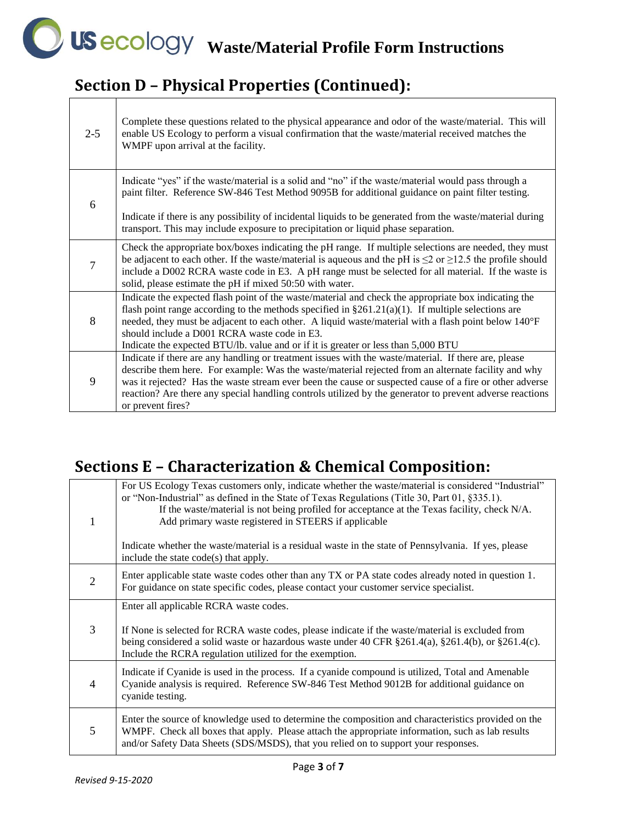# **Section D – Physical Properties (Continued):**

 $\Gamma$ 

| $2 - 5$        | Complete these questions related to the physical appearance and odor of the waste/material. This will<br>enable US Ecology to perform a visual confirmation that the waste/material received matches the<br>WMPF upon arrival at the facility.                                                                                                                                                                                                              |
|----------------|-------------------------------------------------------------------------------------------------------------------------------------------------------------------------------------------------------------------------------------------------------------------------------------------------------------------------------------------------------------------------------------------------------------------------------------------------------------|
| 6              | Indicate "yes" if the waste/material is a solid and "no" if the waste/material would pass through a<br>paint filter. Reference SW-846 Test Method 9095B for additional guidance on paint filter testing.<br>Indicate if there is any possibility of incidental liquids to be generated from the waste/material during<br>transport. This may include exposure to precipitation or liquid phase separation.                                                  |
| $\overline{7}$ | Check the appropriate box/boxes indicating the pH range. If multiple selections are needed, they must<br>be adjacent to each other. If the waste/material is aqueous and the pH is $\leq$ 2 or $\geq$ 12.5 the profile should<br>include a D002 RCRA waste code in E3. A pH range must be selected for all material. If the waste is<br>solid, please estimate the pH if mixed 50:50 with water.                                                            |
| 8              | Indicate the expected flash point of the waste/material and check the appropriate box indicating the<br>flash point range according to the methods specified in $\S 261.21(a)(1)$ . If multiple selections are<br>needed, they must be adjacent to each other. A liquid waste/material with a flash point below 140°F<br>should include a D001 RCRA waste code in E3.<br>Indicate the expected BTU/lb. value and or if it is greater or less than 5,000 BTU |
| 9              | Indicate if there are any handling or treatment issues with the waste/material. If there are, please<br>describe them here. For example: Was the waste/material rejected from an alternate facility and why<br>was it rejected? Has the waste stream ever been the cause or suspected cause of a fire or other adverse<br>reaction? Are there any special handling controls utilized by the generator to prevent adverse reactions<br>or prevent fires?     |

٦

#### **Sections E – Characterization & Chemical Composition:**

|   | For US Ecology Texas customers only, indicate whether the waste/material is considered "Industrial"<br>or "Non-Industrial" as defined in the State of Texas Regulations (Title 30, Part 01, §335.1).<br>If the waste/material is not being profiled for acceptance at the Texas facility, check N/A.<br>Add primary waste registered in STEERS if applicable<br>Indicate whether the waste/material is a residual waste in the state of Pennsylvania. If yes, please<br>include the state code(s) that apply. |
|---|---------------------------------------------------------------------------------------------------------------------------------------------------------------------------------------------------------------------------------------------------------------------------------------------------------------------------------------------------------------------------------------------------------------------------------------------------------------------------------------------------------------|
| 2 | Enter applicable state waste codes other than any TX or PA state codes already noted in question 1.<br>For guidance on state specific codes, please contact your customer service specialist.                                                                                                                                                                                                                                                                                                                 |
| 3 | Enter all applicable RCRA waste codes.<br>If None is selected for RCRA waste codes, please indicate if the waste/material is excluded from<br>being considered a solid waste or hazardous waste under 40 CFR $\S 261.4(a)$ , $\S 261.4(b)$ , or $\S 261.4(c)$ .<br>Include the RCRA regulation utilized for the exemption.                                                                                                                                                                                    |
| 4 | Indicate if Cyanide is used in the process. If a cyanide compound is utilized, Total and Amenable<br>Cyanide analysis is required. Reference SW-846 Test Method 9012B for additional guidance on<br>cyanide testing.                                                                                                                                                                                                                                                                                          |
| 5 | Enter the source of knowledge used to determine the composition and characteristics provided on the<br>WMPF. Check all boxes that apply. Please attach the appropriate information, such as lab results<br>and/or Safety Data Sheets (SDS/MSDS), that you relied on to support your responses.                                                                                                                                                                                                                |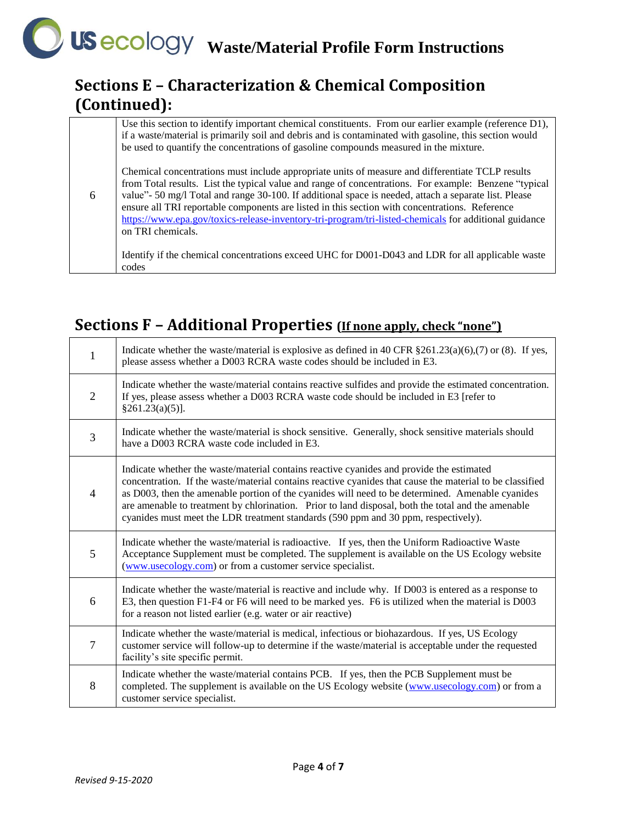### **Sections E – Characterization & Chemical Composition (Continued):**

| 6 | Use this section to identify important chemical constituents. From our earlier example (reference $D1$ ),<br>if a waste/material is primarily soil and debris and is contaminated with gasoline, this section would<br>be used to quantify the concentrations of gasoline compounds measured in the mixture.                                                                                                                                                                                                                                         |
|---|------------------------------------------------------------------------------------------------------------------------------------------------------------------------------------------------------------------------------------------------------------------------------------------------------------------------------------------------------------------------------------------------------------------------------------------------------------------------------------------------------------------------------------------------------|
|   | Chemical concentrations must include appropriate units of measure and differentiate TCLP results<br>from Total results. List the typical value and range of concentrations. For example: Benzene "typical"<br>value" - 50 mg/l Total and range 30-100. If additional space is needed, attach a separate list. Please<br>ensure all TRI reportable components are listed in this section with concentrations. Reference<br>https://www.epa.gov/toxics-release-inventory-tri-program/tri-listed-chemicals for additional guidance<br>on TRI chemicals. |
|   | Identify if the chemical concentrations exceed UHC for D001-D043 and LDR for all applicable waste<br>codes                                                                                                                                                                                                                                                                                                                                                                                                                                           |

### **Sections F – Additional Properties (If none apply, check "none")**

| 1              | Indicate whether the waste/material is explosive as defined in 40 CFR $\S 261.23(a)(6),(7)$ or (8). If yes,<br>please assess whether a D003 RCRA waste codes should be included in E3.                                                                                                                                                                                                                                                                                                               |
|----------------|------------------------------------------------------------------------------------------------------------------------------------------------------------------------------------------------------------------------------------------------------------------------------------------------------------------------------------------------------------------------------------------------------------------------------------------------------------------------------------------------------|
| $\overline{2}$ | Indicate whether the waste/material contains reactive sulfides and provide the estimated concentration.<br>If yes, please assess whether a D003 RCRA waste code should be included in E3 [refer to<br>§261.23(a)(5)].                                                                                                                                                                                                                                                                                |
| 3              | Indicate whether the waste/material is shock sensitive. Generally, shock sensitive materials should<br>have a D003 RCRA waste code included in E3.                                                                                                                                                                                                                                                                                                                                                   |
| 4              | Indicate whether the waste/material contains reactive cyanides and provide the estimated<br>concentration. If the waste/material contains reactive cyanides that cause the material to be classified<br>as D003, then the amenable portion of the cyanides will need to be determined. Amenable cyanides<br>are amenable to treatment by chlorination. Prior to land disposal, both the total and the amenable<br>cyanides must meet the LDR treatment standards (590 ppm and 30 ppm, respectively). |
| 5              | Indicate whether the waste/material is radioactive. If yes, then the Uniform Radioactive Waste<br>Acceptance Supplement must be completed. The supplement is available on the US Ecology website<br>(www.usecology.com) or from a customer service specialist.                                                                                                                                                                                                                                       |
| 6              | Indicate whether the waste/material is reactive and include why. If D003 is entered as a response to<br>E3, then question F1-F4 or F6 will need to be marked yes. F6 is utilized when the material is D003<br>for a reason not listed earlier (e.g. water or air reactive)                                                                                                                                                                                                                           |
| 7              | Indicate whether the waste/material is medical, infectious or biohazardous. If yes, US Ecology<br>customer service will follow-up to determine if the waste/material is acceptable under the requested<br>facility's site specific permit.                                                                                                                                                                                                                                                           |
| 8              | Indicate whether the waste/material contains PCB. If yes, then the PCB Supplement must be<br>completed. The supplement is available on the US Ecology website (www.usecology.com) or from a<br>customer service specialist.                                                                                                                                                                                                                                                                          |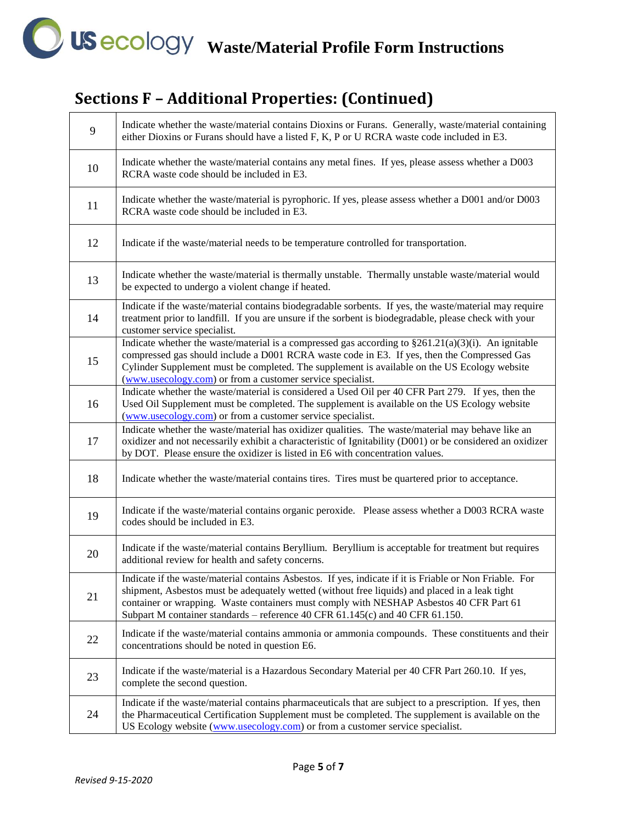# **WAS ACCOLOGY Waste/Material Profile Form Instructions**

# **Sections F – Additional Properties: (Continued)**

| 9  | Indicate whether the waste/material contains Dioxins or Furans. Generally, waste/material containing<br>either Dioxins or Furans should have a listed F, K, P or U RCRA waste code included in E3.                                                                                                                                                                                    |
|----|---------------------------------------------------------------------------------------------------------------------------------------------------------------------------------------------------------------------------------------------------------------------------------------------------------------------------------------------------------------------------------------|
| 10 | Indicate whether the waste/material contains any metal fines. If yes, please assess whether a D003<br>RCRA waste code should be included in E3.                                                                                                                                                                                                                                       |
| 11 | Indicate whether the waste/material is pyrophoric. If yes, please assess whether a D001 and/or D003<br>RCRA waste code should be included in E3.                                                                                                                                                                                                                                      |
| 12 | Indicate if the waste/material needs to be temperature controlled for transportation.                                                                                                                                                                                                                                                                                                 |
| 13 | Indicate whether the waste/material is thermally unstable. Thermally unstable waste/material would<br>be expected to undergo a violent change if heated.                                                                                                                                                                                                                              |
| 14 | Indicate if the waste/material contains biodegradable sorbents. If yes, the waste/material may require<br>treatment prior to landfill. If you are unsure if the sorbent is biodegradable, please check with your<br>customer service specialist.                                                                                                                                      |
| 15 | Indicate whether the waste/material is a compressed gas according to $\S261.21(a)(3)(i)$ . An ignitable<br>compressed gas should include a D001 RCRA waste code in E3. If yes, then the Compressed Gas<br>Cylinder Supplement must be completed. The supplement is available on the US Ecology website<br>(www.usecology.com) or from a customer service specialist.                  |
| 16 | Indicate whether the waste/material is considered a Used Oil per 40 CFR Part 279. If yes, then the<br>Used Oil Supplement must be completed. The supplement is available on the US Ecology website<br>(www.usecology.com) or from a customer service specialist.                                                                                                                      |
| 17 | Indicate whether the waste/material has oxidizer qualities. The waste/material may behave like an<br>oxidizer and not necessarily exhibit a characteristic of Ignitability (D001) or be considered an oxidizer<br>by DOT. Please ensure the oxidizer is listed in E6 with concentration values.                                                                                       |
| 18 | Indicate whether the waste/material contains tires. Tires must be quartered prior to acceptance.                                                                                                                                                                                                                                                                                      |
| 19 | Indicate if the waste/material contains organic peroxide. Please assess whether a D003 RCRA waste<br>codes should be included in E3.                                                                                                                                                                                                                                                  |
| 20 | Indicate if the waste/material contains Beryllium. Beryllium is acceptable for treatment but requires<br>additional review for health and safety concerns.                                                                                                                                                                                                                            |
| 21 | Indicate if the waste/material contains Asbestos. If yes, indicate if it is Friable or Non Friable. For<br>shipment, Asbestos must be adequately wetted (without free liquids) and placed in a leak tight<br>container or wrapping. Waste containers must comply with NESHAP Asbestos 40 CFR Part 61<br>Subpart M container standards - reference 40 CFR 61.145(c) and 40 CFR 61.150. |
| 22 | Indicate if the waste/material contains ammonia or ammonia compounds. These constituents and their<br>concentrations should be noted in question E6.                                                                                                                                                                                                                                  |
| 23 | Indicate if the waste/material is a Hazardous Secondary Material per 40 CFR Part 260.10. If yes,<br>complete the second question.                                                                                                                                                                                                                                                     |
| 24 | Indicate if the waste/material contains pharmaceuticals that are subject to a prescription. If yes, then<br>the Pharmaceutical Certification Supplement must be completed. The supplement is available on the<br>US Ecology website (www.usecology.com) or from a customer service specialist.                                                                                        |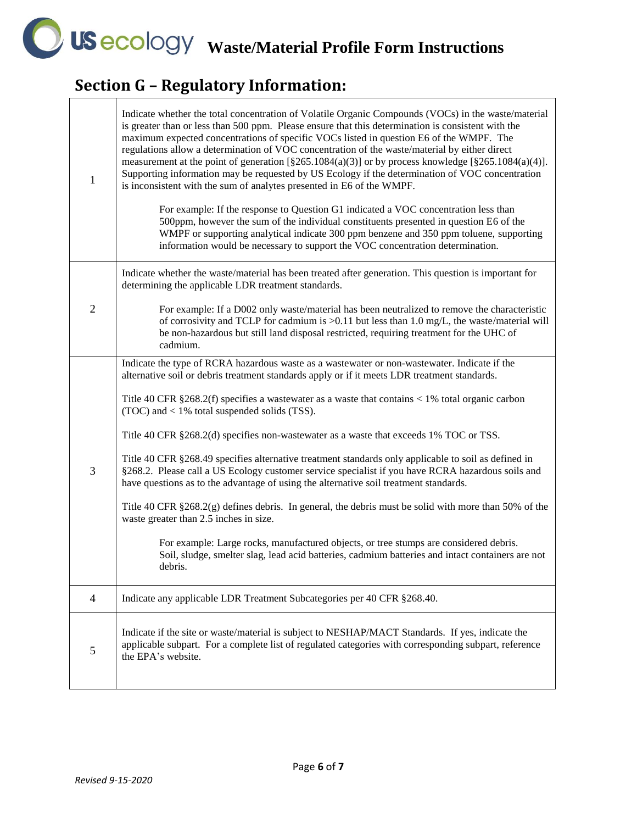**WAS ACCOLOGY Waste/Material Profile Form Instructions** 

┑

# **Section G – Regulatory Information:**

| 1            | Indicate whether the total concentration of Volatile Organic Compounds (VOCs) in the waste/material<br>is greater than or less than 500 ppm. Please ensure that this determination is consistent with the<br>maximum expected concentrations of specific VOCs listed in question E6 of the WMPF. The<br>regulations allow a determination of VOC concentration of the waste/material by either direct<br>measurement at the point of generation [§265.1084(a)(3)] or by process knowledge [§265.1084(a)(4)].<br>Supporting information may be requested by US Ecology if the determination of VOC concentration<br>is inconsistent with the sum of analytes presented in E6 of the WMPF.<br>For example: If the response to Question G1 indicated a VOC concentration less than<br>500ppm, however the sum of the individual constituents presented in question E6 of the<br>WMPF or supporting analytical indicate 300 ppm benzene and 350 ppm toluene, supporting<br>information would be necessary to support the VOC concentration determination.                                                                 |
|--------------|-----------------------------------------------------------------------------------------------------------------------------------------------------------------------------------------------------------------------------------------------------------------------------------------------------------------------------------------------------------------------------------------------------------------------------------------------------------------------------------------------------------------------------------------------------------------------------------------------------------------------------------------------------------------------------------------------------------------------------------------------------------------------------------------------------------------------------------------------------------------------------------------------------------------------------------------------------------------------------------------------------------------------------------------------------------------------------------------------------------------------|
| $\mathbf{2}$ | Indicate whether the waste/material has been treated after generation. This question is important for<br>determining the applicable LDR treatment standards.<br>For example: If a D002 only waste/material has been neutralized to remove the characteristic<br>of corrosivity and TCLP for cadmium is >0.11 but less than 1.0 mg/L, the waste/material will<br>be non-hazardous but still land disposal restricted, requiring treatment for the UHC of<br>cadmium.                                                                                                                                                                                                                                                                                                                                                                                                                                                                                                                                                                                                                                                   |
| 3            | Indicate the type of RCRA hazardous waste as a wastewater or non-wastewater. Indicate if the<br>alternative soil or debris treatment standards apply or if it meets LDR treatment standards.<br>Title 40 CFR $\S 268.2(f)$ specifies a wastewater as a waste that contains < 1% total organic carbon<br>$(TOC)$ and < 1% total suspended solids (TSS).<br>Title 40 CFR §268.2(d) specifies non-wastewater as a waste that exceeds 1% TOC or TSS.<br>Title 40 CFR §268.49 specifies alternative treatment standards only applicable to soil as defined in<br>§268.2. Please call a US Ecology customer service specialist if you have RCRA hazardous soils and<br>have questions as to the advantage of using the alternative soil treatment standards.<br>Title 40 CFR $\S 268.2(g)$ defines debris. In general, the debris must be solid with more than 50% of the<br>waste greater than 2.5 inches in size.<br>For example: Large rocks, manufactured objects, or tree stumps are considered debris.<br>Soil, sludge, smelter slag, lead acid batteries, cadmium batteries and intact containers are not<br>debris. |
| 4            | Indicate any applicable LDR Treatment Subcategories per 40 CFR §268.40.                                                                                                                                                                                                                                                                                                                                                                                                                                                                                                                                                                                                                                                                                                                                                                                                                                                                                                                                                                                                                                               |
| 5            | Indicate if the site or waste/material is subject to NESHAP/MACT Standards. If yes, indicate the<br>applicable subpart. For a complete list of regulated categories with corresponding subpart, reference<br>the EPA's website.                                                                                                                                                                                                                                                                                                                                                                                                                                                                                                                                                                                                                                                                                                                                                                                                                                                                                       |